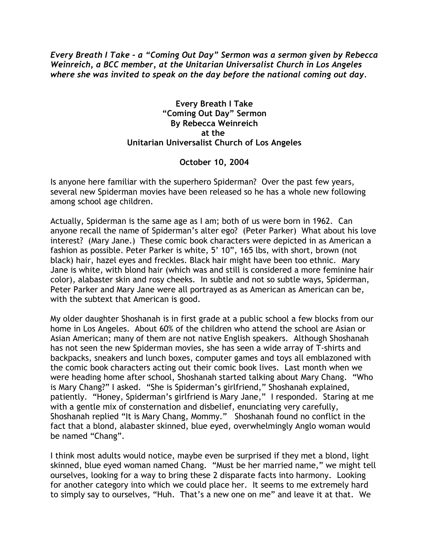*Every Breath I Take - a "Coming Out Day" Sermon was a sermon given by Rebecca Weinreich, a BCC member, at the Unitarian Universalist Church in Los Angeles where she was invited to speak on the day before the national coming out day.*

### **Every Breath I Take "Coming Out Day" Sermon By Rebecca Weinreich at the Unitarian Universalist Church of Los Angeles**

# **October 10, 2004**

Is anyone here familiar with the superhero Spiderman? Over the past few years, several new Spiderman movies have been released so he has a whole new following among school age children.

Actually, Spiderman is the same age as I am; both of us were born in 1962. Can anyone recall the name of Spiderman's alter ego? (Peter Parker) What about his love interest? (Mary Jane.) These comic book characters were depicted in as American a fashion as possible. Peter Parker is white, 5' 10", 165 lbs, with short, brown (not black) hair, hazel eyes and freckles. Black hair might have been too ethnic. Mary Jane is white, with blond hair (which was and still is considered a more feminine hair color), alabaster skin and rosy cheeks. In subtle and not so subtle ways, Spiderman, Peter Parker and Mary Jane were all portrayed as as American as American can be, with the subtext that American is good.

My older daughter Shoshanah is in first grade at a public school a few blocks from our home in Los Angeles. About 60% of the children who attend the school are Asian or Asian American; many of them are not native English speakers. Although Shoshanah has not seen the new Spiderman movies, she has seen a wide array of T-shirts and backpacks, sneakers and lunch boxes, computer games and toys all emblazoned with the comic book characters acting out their comic book lives. Last month when we were heading home after school, Shoshanah started talking about Mary Chang. "Who is Mary Chang?" I asked. "She is Spiderman's girlfriend," Shoshanah explained, patiently. "Honey, Spiderman's girlfriend is Mary Jane," I responded. Staring at me with a gentle mix of consternation and disbelief, enunciating very carefully, Shoshanah replied "It is Mary Chang, Mommy." Shoshanah found no conflict in the fact that a blond, alabaster skinned, blue eyed, overwhelmingly Anglo woman would be named "Chang".

I think most adults would notice, maybe even be surprised if they met a blond, light skinned, blue eyed woman named Chang. "Must be her married name," we might tell ourselves, looking for a way to bring these 2 disparate facts into harmony. Looking for another category into which we could place her. It seems to me extremely hard to simply say to ourselves, "Huh. That's a new one on me" and leave it at that. We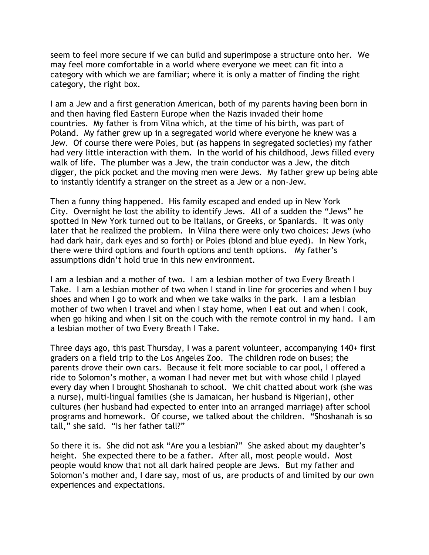seem to feel more secure if we can build and superimpose a structure onto her. We may feel more comfortable in a world where everyone we meet can fit into a category with which we are familiar; where it is only a matter of finding the right category, the right box.

I am a Jew and a first generation American, both of my parents having been born in and then having fled Eastern Europe when the Nazis invaded their home countries. My father is from Vilna which, at the time of his birth, was part of Poland. My father grew up in a segregated world where everyone he knew was a Jew. Of course there were Poles, but (as happens in segregated societies) my father had very little interaction with them. In the world of his childhood, Jews filled every walk of life. The plumber was a Jew, the train conductor was a Jew, the ditch digger, the pick pocket and the moving men were Jews. My father grew up being able to instantly identify a stranger on the street as a Jew or a non-Jew.

Then a funny thing happened. His family escaped and ended up in New York City. Overnight he lost the ability to identify Jews. All of a sudden the "Jews" he spotted in New York turned out to be Italians, or Greeks, or Spaniards. It was only later that he realized the problem. In Vilna there were only two choices: Jews (who had dark hair, dark eyes and so forth) or Poles (blond and blue eyed). In New York, there were third options and fourth options and tenth options. My father's assumptions didn't hold true in this new environment.

I am a lesbian and a mother of two. I am a lesbian mother of two Every Breath I Take. I am a lesbian mother of two when I stand in line for groceries and when I buy shoes and when I go to work and when we take walks in the park. I am a lesbian mother of two when I travel and when I stay home, when I eat out and when I cook, when go hiking and when I sit on the couch with the remote control in my hand. I am a lesbian mother of two Every Breath I Take.

Three days ago, this past Thursday, I was a parent volunteer, accompanying 140+ first graders on a field trip to the Los Angeles Zoo. The children rode on buses; the parents drove their own cars. Because it felt more sociable to car pool, I offered a ride to Solomon's mother, a woman I had never met but with whose child I played every day when I brought Shoshanah to school. We chit chatted about work (she was a nurse), multi-lingual families (she is Jamaican, her husband is Nigerian), other cultures (her husband had expected to enter into an arranged marriage) after school programs and homework. Of course, we talked about the children. "Shoshanah is so tall," she said. "Is her father tall?"

So there it is. She did not ask "Are you a lesbian?" She asked about my daughter's height. She expected there to be a father. After all, most people would. Most people would know that not all dark haired people are Jews. But my father and Solomon's mother and, I dare say, most of us, are products of and limited by our own experiences and expectations.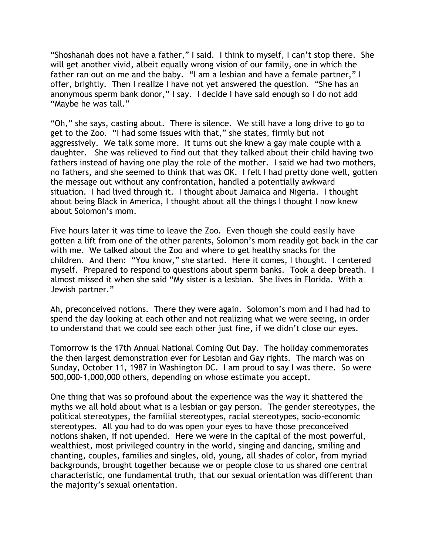"Shoshanah does not have a father," I said. I think to myself, I can't stop there. She will get another vivid, albeit equally wrong vision of our family, one in which the father ran out on me and the baby. "I am a lesbian and have a female partner," I offer, brightly. Then I realize I have not yet answered the question. "She has an anonymous sperm bank donor," I say. I decide I have said enough so I do not add "Maybe he was tall."

"Oh," she says, casting about. There is silence. We still have a long drive to go to get to the Zoo. "I had some issues with that," she states, firmly but not aggressively. We talk some more. It turns out she knew a gay male couple with a daughter. She was relieved to find out that they talked about their child having two fathers instead of having one play the role of the mother. I said we had two mothers, no fathers, and she seemed to think that was OK. I felt I had pretty done well, gotten the message out without any confrontation, handled a potentially awkward situation. I had lived through it. I thought about Jamaica and Nigeria. I thought about being Black in America, I thought about all the things I thought I now knew about Solomon's mom.

Five hours later it was time to leave the Zoo. Even though she could easily have gotten a lift from one of the other parents, Solomon's mom readily got back in the car with me. We talked about the Zoo and where to get healthy snacks for the children. And then: "You know," she started. Here it comes, I thought. I centered myself. Prepared to respond to questions about sperm banks. Took a deep breath. I almost missed it when she said "My sister is a lesbian. She lives in Florida. With a Jewish partner."

Ah, preconceived notions. There they were again. Solomon's mom and I had had to spend the day looking at each other and not realizing what we were seeing, in order to understand that we could see each other just fine, if we didn't close our eyes.

Tomorrow is the 17th Annual National Coming Out Day. The holiday commemorates the then largest demonstration ever for Lesbian and Gay rights. The march was on Sunday, October 11, 1987 in Washington DC. I am proud to say I was there. So were 500,000-1,000,000 others, depending on whose estimate you accept.

One thing that was so profound about the experience was the way it shattered the myths we all hold about what is a lesbian or gay person. The gender stereotypes, the political stereotypes, the familial stereotypes, racial stereotypes, socio-economic stereotypes. All you had to do was open your eyes to have those preconceived notions shaken, if not upended. Here we were in the capital of the most powerful, wealthiest, most privileged country in the world, singing and dancing, smiling and chanting, couples, families and singles, old, young, all shades of color, from myriad backgrounds, brought together because we or people close to us shared one central characteristic, one fundamental truth, that our sexual orientation was different than the majority's sexual orientation.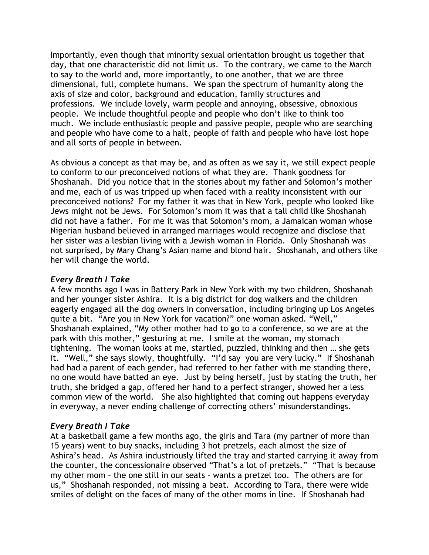Importantly, even though that minority sexual orientation brought us together that day, that one characteristic did not limit us. To the contrary, we came to the March to say to the world and, more importantly, to one another, that we are three dimensional, full, complete humans. We span the spectrum of humanity along the axis of size and color, background and education, family structures and professions. We include lovely, warm people and annoying, obsessive, obnoxious people. We include thoughtful people and people who don't like to think too much. We include enthusiastic people and passive people, people who are searching and people who have come to a halt, people of faith and people who have lost hope and all sorts of people in between.

As obvious a concept as that may be, and as often as we say it, we still expect people to conform to our preconceived notions of what they are. Thank goodness for Shoshanah. Did you notice that in the stories about my father and Solomon's mother and me, each of us was tripped up when faced with a reality inconsistent with our preconceived notions? For my father it was that in New York, people who looked like Jews might not be Jews. For Solomon's mom it was that a tall child like Shoshanah did not have a father. For me it was that Solomon's mom, a Jamaican woman whose Nigerian husband believed in arranged marriages would recognize and disclose that her sister was a lesbian living with a Jewish woman in Florida. Only Shoshanah was not surprised, by Mary Chang's Asian name and blond hair. Shoshanah, and others like her will change the world.

### *Every Breath I Take*

A few months ago I was in Battery Park in New York with my two children, Shoshanah and her younger sister Ashira. It is a big district for dog walkers and the children eagerly engaged all the dog owners in conversation, including bringing up Los Angeles quite a bit. "Are you in New York for vacation?" one woman asked. "Well," Shoshanah explained, "My other mother had to go to a conference, so we are at the park with this mother," gesturing at me. I smile at the woman, my stomach tightening. The woman looks at me, startled, puzzled, thinking and then … she gets it. "Well," she says slowly, thoughtfully. "I'd say you are very lucky." If Shoshanah had had a parent of each gender, had referred to her father with me standing there, no one would have batted an eye. Just by being herself, just by stating the truth, her truth, she bridged a gap, offered her hand to a perfect stranger, showed her a less common view of the world. She also highlighted that coming out happens everyday in everyway, a never ending challenge of correcting others' misunderstandings.

## *Every Breath I Take*

At a basketball game a few months ago, the girls and Tara (my partner of more than 15 years) went to buy snacks, including 3 hot pretzels, each almost the size of Ashira's head. As Ashira industriously lifted the tray and started carrying it away from the counter, the concessionaire observed "That's a lot of pretzels." "That is because my other mom – the one still in our seats – wants a pretzel too. The others are for us," Shoshanah responded, not missing a beat. According to Tara, there were wide smiles of delight on the faces of many of the other moms in line. If Shoshanah had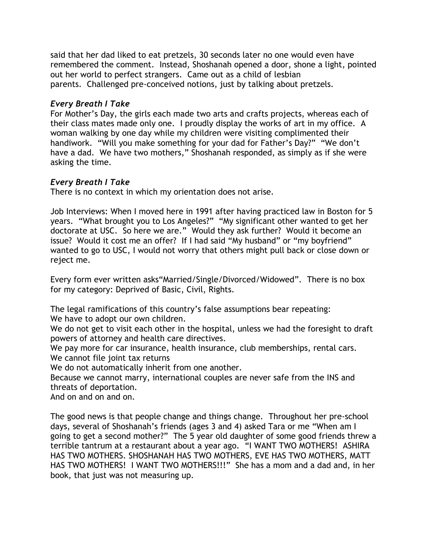said that her dad liked to eat pretzels, 30 seconds later no one would even have remembered the comment. Instead, Shoshanah opened a door, shone a light, pointed out her world to perfect strangers. Came out as a child of lesbian parents. Challenged pre-conceived notions, just by talking about pretzels.

# *Every Breath I Take*

For Mother's Day, the girls each made two arts and crafts projects, whereas each of their class mates made only one. I proudly display the works of art in my office. A woman walking by one day while my children were visiting complimented their handiwork. "Will you make something for your dad for Father's Day?" "We don't have a dad. We have two mothers," Shoshanah responded, as simply as if she were asking the time.

# *Every Breath I Take*

There is no context in which my orientation does not arise.

Job Interviews: When I moved here in 1991 after having practiced law in Boston for 5 years. "What brought you to Los Angeles?" "My significant other wanted to get her doctorate at USC. So here we are." Would they ask further? Would it become an issue? Would it cost me an offer? If I had said "My husband" or "my boyfriend" wanted to go to USC, I would not worry that others might pull back or close down or reject me.

Every form ever written asks"Married/Single/Divorced/Widowed". There is no box for my category: Deprived of Basic, Civil, Rights.

The legal ramifications of this country's false assumptions bear repeating: We have to adopt our own children.

We do not get to visit each other in the hospital, unless we had the foresight to draft powers of attorney and health care directives.

We pay more for car insurance, health insurance, club memberships, rental cars. We cannot file joint tax returns

We do not automatically inherit from one another.

Because we cannot marry, international couples are never safe from the INS and threats of deportation.

And on and on and on.

The good news is that people change and things change. Throughout her pre-school days, several of Shoshanah's friends (ages 3 and 4) asked Tara or me "When am I going to get a second mother?" The 5 year old daughter of some good friends threw a terrible tantrum at a restaurant about a year ago. "I WANT TWO MOTHERS! ASHIRA HAS TWO MOTHERS. SHOSHANAH HAS TWO MOTHERS, EVE HAS TWO MOTHERS, MATT HAS TWO MOTHERS! I WANT TWO MOTHERS!!!" She has a mom and a dad and, in her book, that just was not measuring up.